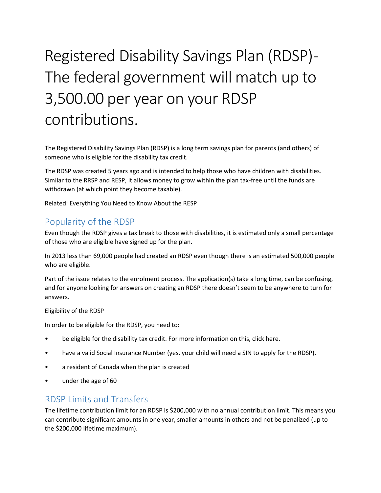# Registered Disability Savings Plan (RDSP) - The federal government will match up to 3,500.00 per year on your RDSP contributions.

The Registered Disability Savings Plan (RDSP) is a long term savings plan for parents (and others) of someone who is eligible for the disability tax credit.

The RDSP was created 5 years ago and is intended to help those who have children with disabilities. Similar to the RRSP and RESP, it allows money to grow within the plan tax-free until the funds are withdrawn (at which point they become taxable).

Related: Everything You Need to Know About the RESP

## Popularity of the RDSP

Even though the RDSP gives a tax break to those with disabilities, it is estimated only a small percentage of those who are eligible have signed up for the plan.

In 2013 less than 69,000 people had created an RDSP even though there is an estimated 500,000 people who are eligible.

Part of the issue relates to the enrolment process. The application(s) take a long time, can be confusing, and for anyone looking for answers on creating an RDSP there doesn't seem to be anywhere to turn for answers.

### Eligibility of the RDSP

In order to be eligible for the RDSP, you need to:

- be eligible for the disability tax credit. For more information on this, click here.
- have a valid Social Insurance Number (yes, your child will need a SIN to apply for the RDSP).
- a resident of Canada when the plan is created
- under the age of 60

## RDSP Limits and Transfers

The lifetime contribution limit for an RDSP is \$200,000 with no annual contribution limit. This means you can contribute significant amounts in one year, smaller amounts in others and not be penalized (up to the \$200,000 lifetime maximum).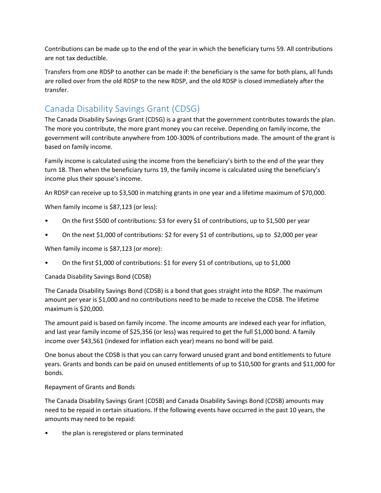Contributions can be made up to the end of the year in which the beneficiary turns 59. All contributions are not tax deductible.

Transfers from one RDSP to another can be made if: the beneficiary is the same for both plans, all funds are rolled over from the old RDSP to the new RDSP, and the old RDSP is closed immediately after the transfer.

## Canada Disability Savings Grant (CDSG)

The Canada Disability Savings Grant (CDSG) is a grant that the government contributes towards the plan. The more you contribute, the more grant money you can receive. Depending on family income, the government will contribute anywhere from 100-300% of contributions made. The amount of the grant is based on family income.

Family income is calculated using the income from the beneficiary's birth to the end of the year they turn 18. Then when the beneficiary turns 19, the family income is calculated using the beneficiary's income plus their spouse's income.

An RDSP can receive up to \$3,500 in matching grants in one year and a lifetime maximum of \$70,000.

When family income is \$87,123 (or less):

- On the first \$500 of contributions: \$3 for every \$1 of contributions, up to \$1,500 per year
- On the next \$1,000 of contributions: \$2 for every \$1 of contributions, up to \$2,000 per year

When family income is \$87,123 (or more):

• On the first \$1,000 of contributions: \$1 for every \$1 of contributions, up to \$1,000

### Canada Disability Savings Bond (CDSB)

The Canada Disability Savings Bond (CDSB) is a bond that goes straight into the RDSP. The maximum amount per year is \$1,000 and no contributions need to be made to receive the CDSB. The lifetime maximum is \$20,000.

The amount paid is based on family income. The income amounts are indexed each year for inflation, and last year family income of \$25,356 (or less) was required to get the full \$1,000 bond. A family income over \$43,561 (indexed for inflation each year) means no bond will be paid.

One bonus about the CDSB is that you can carry forward unused grant and bond entitlements to future years. Grants and bonds can be paid on unused entitlements of up to \$10,500 for grants and \$11,000 for bonds.

### Repayment of Grants and Bonds

The Canada Disability Savings Grant (CDSB) and Canada Disability Savings Bond (CDSB) amounts may need to be repaid in certain situations. If the following events have occurred in the past 10 years, the amounts may need to be repaid:

the plan is reregistered or plans terminated